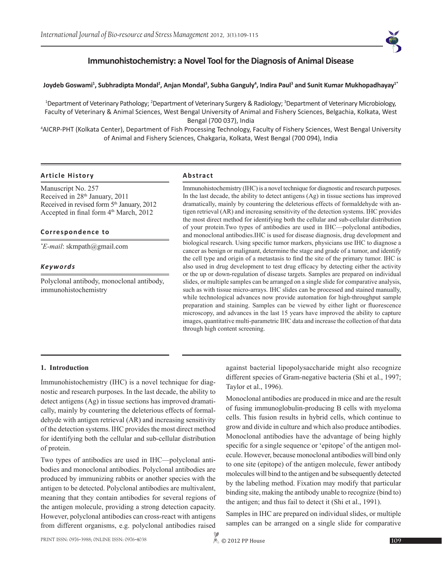

# **Immunohistochemistry: a Novel Tool for the Diagnosis of Animal Disease**

#### $J$ oydeb Goswami<sup>1</sup>, Subhradipta Mondal<sup>2</sup>, Anjan Mondal<sup>3</sup>, Subha Ganguly<sup>4</sup>, Indira Paul<sup>3</sup> and Sunit Kumar Mukhopadhayay1\*

<sup>1</sup>Department of Veterinary Pathology; <sup>2</sup>Department of Veterinary Surgery & Radiology; <sup>3</sup>Department of Veterinary Microbiology, Faculty of Veterinary & Animal Sciences, West Bengal University of Animal and Fishery Sciences, Belgachia, Kolkata, West Bengal (700 037), India

4 AICRP-PHT (Kolkata Center), Department of Fish Processing Technology, Faculty of Fishery Sciences, West Bengal University of Animal and Fishery Sciences, Chakgaria, Kolkata, West Bengal (700 094), India

#### **Article History Abstract**

Manuscript No. 257 Received in 28th January, 2011 Received in revised form 5<sup>th</sup> January, 2012 Accepted in final form 4<sup>th</sup> March, 2012

#### **Correspondence to**

*\* E-mail*: skmpath@gmail.com

#### *Keywords*

Polyclonal antibody, monoclonal antibody, immunohistochemistry

Immunohistochemistry (IHC) is a novel technique for diagnostic and research purposes. In the last decade, the ability to detect antigens (Ag) in tissue sections has improved dramatically, mainly by countering the deleterious effects of formaldehyde with antigen retrieval (AR) and increasing sensitivity of the detection systems. IHC provides the most direct method for identifying both the cellular and sub-cellular distribution of your protein.Two types of antibodies are used in IHC—polyclonal antibodies, and monoclonal antibodies.IHC is used for disease diagnosis, drug development and biological research. Using specific tumor markers, physicians use IHC to diagnose a cancer as benign or malignant, determine the stage and grade of a tumor, and identify the cell type and origin of a metastasis to find the site of the primary tumor. IHC is also used in drug development to test drug efficacy by detecting either the activity or the up or down-regulation of disease targets. Samples are prepared on individual slides, or multiple samples can be arranged on a single slide for comparative analysis, such as with tissue micro-arrays. IHC slides can be processed and stained manually, while technological advances now provide automation for high-throughput sample preparation and staining. Samples can be viewed by either light or fluorescence microscopy, and advances in the last 15 years have improved the ability to capture images, quantitative multi-parametric IHC data and increase the collection of that data through high content screening.

#### **1. Introduction**

Immunohistochemistry (IHC) is a novel technique for diagnostic and research purposes. In the last decade, the ability to detect antigens (Ag) in tissue sections has improved dramatically, mainly by countering the deleterious effects of formaldehyde with antigen retrieval (AR) and increasing sensitivity of the detection systems. IHC provides the most direct method for identifying both the cellular and sub-cellular distribution of protein.

Two types of antibodies are used in IHC—polyclonal antibodies and monoclonal antibodies. Polyclonal antibodies are produced by immunizing rabbits or another species with the antigen to be detected. Polyclonal antibodies are multivalent, meaning that they contain antibodies for several regions of the antigen molecule, providing a strong detection capacity. However, polyclonal antibodies can cross-react with antigens from different organisms, e.g. polyclonal antibodies raised against bacterial lipopolysaccharide might also recognize different species of Gram-negative bacteria (Shi et al., 1997; Taylor et al., 1996).

Monoclonal antibodies are produced in mice and are the result of fusing immunoglobulin-producing B cells with myeloma cells. This fusion results in hybrid cells, which continue to grow and divide in culture and which also produce antibodies. Monoclonal antibodies have the advantage of being highly specific for a single sequence or 'epitope' of the antigen molecule. However, because monoclonal antibodies will bind only to one site (epitope) of the antigen molecule, fewer antibody molecules will bind to the antigen and be subsequently detected by the labeling method. Fixation may modify that particular binding site, making the antibody unable to recognize (bind to) the antigen; and thus fail to detect it (Shi et al., 1991).

Samples in IHC are prepared on individual slides, or multiple samples can be arranged on a single slide for comparative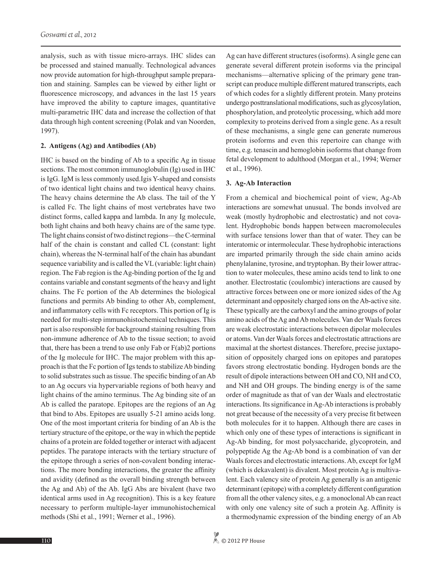analysis, such as with tissue micro-arrays. IHC slides can be processed and stained manually. Technological advances now provide automation for high-throughput sample preparation and staining. Samples can be viewed by either light or fluorescence microscopy, and advances in the last 15 years have improved the ability to capture images, quantitative multi-parametric IHC data and increase the collection of that data through high content screening (Polak and van Noorden, 1997).

#### **2. Antigens (Ag) and Antibodies (Ab)**

IHC is based on the binding of Ab to a specific Ag in tissue sections. The most common immunoglobulin (Ig) used in IHC is IgG. IgM is less commonly used.Igis Y-shaped and consists of two identical light chains and two identical heavy chains. The heavy chains determine the Ab class. The tail of the Y is called Fc. The light chains of most vertebrates have two distinct forms, called kappa and lambda. In any Ig molecule, both light chains and both heavy chains are of the same type. The light chains consist of two distinct regions—the C-terminal half of the chain is constant and called CL (constant: light chain), whereas the N-terminal half of the chain has abundant sequence variability and is called the VL (variable: light chain) region. The Fab region is the Ag-binding portion of the Ig and contains variable and constant segments of the heavy and light chains. The Fc portion of the Ab determines the biological functions and permits Ab binding to other Ab, complement, and inflammatory cells with Fc receptors. This portion of Ig is needed for multi-step immunohistochemical techniques. This part is also responsible for background staining resulting from non-immune adherence of Ab to the tissue section; to avoid that, there has been a trend to use only Fab or F(ab)2 portions of the Ig molecule for IHC. The major problem with this approach is that the Fc portion of Igs tends to stabilize Ab binding to solid substrates such as tissue. The specific binding of an Ab to an Ag occurs via hypervariable regions of both heavy and light chains of the amino terminus. The Ag binding site of an Ab is called the paratope. Epitopes are the regions of an Ag that bind to Abs. Epitopes are usually 5-21 amino acids long. One of the most important criteria for binding of an Ab is the tertiary structure of the epitope, or the way in which the peptide chains of a protein are folded together or interact with adjacent peptides. The paratope interacts with the tertiary structure of the epitope through a series of non-covalent bonding interactions. The more bonding interactions, the greater the affinity and avidity (defined as the overall binding strength between the Ag and Ab) of the Ab. IgG Abs are bivalent (have two identical arms used in Ag recognition). This is a key feature necessary to perform multiple-layer immunohistochemical methods (Shi et al., 1991; Werner et al., 1996).

Ag can have different structures (isoforms). A single gene can generate several different protein isoforms via the principal mechanisms—alternative splicing of the primary gene transcript can produce multiple different matured transcripts, each of which codes for a slightly different protein. Many proteins undergo posttranslational modifications, such as glycosylation, phosphorylation, and proteolytic processing, which add more complexity to proteins derived from a single gene. As a result of these mechanisms, a single gene can generate numerous protein isoforms and even this repertoire can change with time, e.g. tenascin and hemoglobin isoforms that change from fetal development to adulthood (Morgan et al., 1994; Werner et al., 1996).

#### **3. Ag-Ab Interaction**

From a chemical and biochemical point of view, Ag-Ab interactions are somewhat unusual. The bonds involved are weak (mostly hydrophobic and electrostatic) and not covalent. Hydrophobic bonds happen between macromolecules with surface tensions lower than that of water. They can be interatomic or intermolecular. These hydrophobic interactions are imparted primarily through the side chain amino acids phenylalanine, tyrosine, and tryptophan. By their lower attraction to water molecules, these amino acids tend to link to one another. Electrostatic (coulombic) interactions are caused by attractive forces between one or more ionized sides of the Ag determinant and oppositely charged ions on the Ab-active site. These typically are the carboxyl and the amino groups of polar amino acids of the Ag and Ab molecules. Van der Waals forces are weak electrostatic interactions between dipolar molecules or atoms. Van der Waals forces and electrostatic attractions are maximal at the shortest distances. Therefore, precise juxtaposition of oppositely charged ions on epitopes and paratopes favors strong electrostatic bonding. Hydrogen bonds are the result of dipole interactions between OH and CO, NH and CO, and NH and OH groups. The binding energy is of the same order of magnitude as that of van der Waals and electrostatic interactions. Its significance in Ag-Ab interactions is probably not great because of the necessity of a very precise fit between both molecules for it to happen. Although there are cases in which only one of these types of interactions is significant in Ag-Ab binding, for most polysaccharide, glycoprotein, and polypeptide Ag the Ag-Ab bond is a combination of van der Waals forces and electrostatic interactions. Ab, except for IgM (which is dekavalent) is divalent. Most protein Ag is multivalent. Each valency site of protein Ag generally is an antigenic determinant (epitope) with a completely different configuration from all the other valency sites, e.g. a monoclonal Ab can react with only one valency site of such a protein Ag. Affinity is a thermodynamic expression of the binding energy of an Ab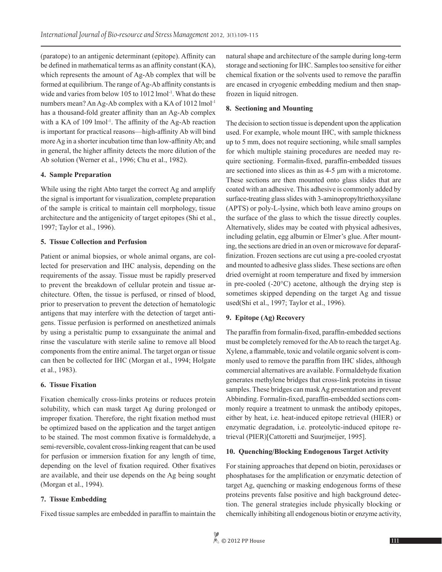(paratope) to an antigenic determinant (epitope). Affinity can be defined in mathematical terms as an affinity constant (KA), which represents the amount of Ag-Ab complex that will be formed at equilibrium. The range of Ag-Ab affinity constants is wide and varies from below 105 to 1012 lmol<sup>-1</sup>. What do these numbers mean? An Ag-Ab complex with a KA of 1012 lmol-1 has a thousand-fold greater affinity than an Ag-Ab complex with a KA of 109 lmol<sup>-1</sup>. The affinity of the Ag-Ab reaction is important for practical reasons—high-affinity Ab will bind more Ag in a shorter incubation time than low-affinity Ab; and in general, the higher affinity detects the more dilution of the Ab solution (Werner et al., 1996; Chu et al., 1982).

## **4. Sample Preparation**

While using the right Abto target the correct Ag and amplify the signal is important for visualization, complete preparation of the sample is critical to maintain cell morphology, tissue architecture and the antigenicity of target epitopes (Shi et al., 1997; Taylor et al., 1996).

## **5. Tissue Collection and Perfusion**

Patient or animal biopsies, or whole animal organs, are collected for preservation and IHC analysis, depending on the requirements of the assay. Tissue must be rapidly preserved to prevent the breakdown of cellular protein and tissue architecture. Often, the tissue is perfused, or rinsed of blood, prior to preservation to prevent the detection of hematologic antigens that may interfere with the detection of target antigens. Tissue perfusion is performed on anesthetized animals by using a peristaltic pump to exsanguinate the animal and rinse the vasculature with sterile saline to remove all blood components from the entire animal. The target organ or tissue can then be collected for IHC (Morgan et al., 1994; Holgate et al., 1983).

## **6. Tissue Fixation**

Fixation chemically cross-links proteins or reduces protein solubility, which can mask target Ag during prolonged or improper fixation. Therefore, the right fixation method must be optimized based on the application and the target antigen to be stained. The most common fixative is formaldehyde, a semi-reversible, covalent cross-linking reagent that can be used for perfusion or immersion fixation for any length of time, depending on the level of fixation required. Other fixatives are available, and their use depends on the Ag being sought (Morgan et al., 1994).

## **7. Tissue Embedding**

Fixed tissue samples are embedded in paraffin to maintain the

natural shape and architecture of the sample during long-term storage and sectioning for IHC. Samples too sensitive for either chemical fixation or the solvents used to remove the paraffin are encased in cryogenic embedding medium and then snapfrozen in liquid nitrogen.

#### **8. Sectioning and Mounting**

The decision to section tissue is dependent upon the application used. For example, whole mount IHC, with sample thickness up to 5 mm, does not require sectioning, while small samples for which multiple staining procedures are needed may require sectioning. Formalin-fixed, paraffin-embedded tissues are sectioned into slices as thin as 4-5 μm with a microtome. These sections are then mounted onto glass slides that are coated with an adhesive. This adhesive is commonly added by surface-treating glass slides with 3-aminopropyltriethoxysilane (APTS) or poly-L-lysine, which both leave amino groups on the surface of the glass to which the tissue directly couples. Alternatively, slides may be coated with physical adhesives, including gelatin, egg albumin or Elmer's glue. After mounting, the sections are dried in an oven or microwave for deparaffinization. Frozen sections are cut using a pre-cooled cryostat and mounted to adhesive glass slides. These sections are often dried overnight at room temperature and fixed by immersion in pre-cooled (-20°C) acetone, although the drying step is sometimes skipped depending on the target Ag and tissue used(Shi et al., 1997; Taylor et al., 1996).

## **9. Epitope (Ag) Recovery**

The paraffin from formalin-fixed, paraffin-embedded sections must be completely removed for the Ab to reach the target Ag. Xylene, a flammable, toxic and volatile organic solvent is commonly used to remove the paraffin from IHC slides, although commercial alternatives are available. Formaldehyde fixation generates methylene bridges that cross-link proteins in tissue samples. These bridges can mask Ag presentation and prevent Abbinding. Formalin-fixed, paraffin-embedded sections commonly require a treatment to unmask the antibody epitopes, either by heat, i.e. heat-induced epitope retrieval (HIER) or enzymatic degradation, i.e. proteolytic-induced epitope retrieval (PIER)[Cattoretti and Suurjmeijer, 1995].

## **10. Quenching/Blocking Endogenous Target Activity**

For staining approaches that depend on biotin, peroxidases or phosphatases for the amplification or enzymatic detection of target Ag, quenching or masking endogenous forms of these proteins prevents false positive and high background detection. The general strategies include physically blocking or chemically inhibiting all endogenous biotin or enzyme activity,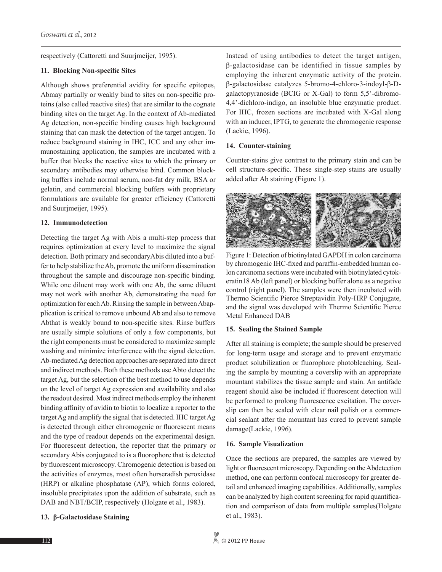respectively (Cattoretti and Suurjmeijer, 1995).

## **11. Blocking Non-specific Sites**

Although shows preferential avidity for specific epitopes, Abmay partially or weakly bind to sites on non-specific proteins (also called reactive sites) that are similar to the cognate binding sites on the target Ag. In the context of Ab-mediated Ag detection, non-specific binding causes high background staining that can mask the detection of the target antigen. To reduce background staining in IHC, ICC and any other immunostaining application, the samples are incubated with a buffer that blocks the reactive sites to which the primary or secondary antibodies may otherwise bind. Common blocking buffers include normal serum, non-fat dry milk, BSA or gelatin, and commercial blocking buffers with proprietary formulations are available for greater efficiency (Cattoretti and Suurjmeijer, 1995).

#### **12. Immunodetection**

Detecting the target Ag with Abis a multi-step process that requires optimization at every level to maximize the signal detection. Both primary and secondaryAbis diluted into a buffer to help stabilize the Ab, promote the uniform dissemination throughout the sample and discourage non-specific binding. While one diluent may work with one Ab, the same diluent may not work with another Ab, demonstrating the need for optimization for each Ab. Rinsing the sample in between Abapplication is critical to remove unbound Ab and also to remove Abthat is weakly bound to non-specific sites. Rinse buffers are usually simple solutions of only a few components, but the right components must be considered to maximize sample washing and minimize interference with the signal detection. Ab-mediated Ag detection approaches are separated into direct and indirect methods. Both these methods use Abto detect the target Ag, but the selection of the best method to use depends on the level of target Ag expression and availability and also the readout desired. Most indirect methods employ the inherent binding affinity of avidin to biotin to localize a reporter to the target Ag and amplify the signal that is detected. IHC target Ag is detected through either chromogenic or fluorescent means and the type of readout depends on the experimental design. For fluorescent detection, the reporter that the primary or secondary Abis conjugated to is a fluorophore that is detected by fluorescent microscopy. Chromogenic detection is based on the activities of enzymes, most often horseradish peroxidase (HRP) or alkaline phosphatase (AP), which forms colored, insoluble precipitates upon the addition of substrate, such as DAB and NBT/BCIP, respectively (Holgate et al., 1983).

## **13. β-Galactosidase Staining**

Instead of using antibodies to detect the target antigen, β-galactosidase can be identified in tissue samples by employing the inherent enzymatic activity of the protein. β-galactosidase catalyzes 5-bromo-4-chloro-3-indoyl-β-Dgalactopyranoside (BCIG or X-Gal) to form 5,5'-dibromo-4,4'-dichloro-indigo, an insoluble blue enzymatic product. For IHC, frozen sections are incubated with X-Gal along with an inducer, IPTG, to generate the chromogenic response (Lackie, 1996).

#### **14. Counter-staining**

Counter-stains give contrast to the primary stain and can be cell structure-specific. These single-step stains are usually added after Ab staining (Figure 1).



Figure 1: Detection of biotinylated GAPDH in colon carcinoma by chromogenic IHC-fixed and paraffin-embedded human colon carcinoma sections were incubated with biotinylated cytokeratin18 Ab (left panel) or blocking buffer alone as a negative control (right panel). The samples were then incubated with Thermo Scientific Pierce Streptavidin Poly-HRP Conjugate, and the signal was developed with Thermo Scientific Pierce Metal Enhanced DAB

#### **15. Sealing the Stained Sample**

After all staining is complete; the sample should be preserved for long-term usage and storage and to prevent enzymatic product solubilization or fluorophore photobleaching. Sealing the sample by mounting a coverslip with an appropriate mountant stabilizes the tissue sample and stain. An antifade reagent should also be included if fluorescent detection will be performed to prolong fluorescence excitation. The coverslip can then be sealed with clear nail polish or a commercial sealant after the mountant has cured to prevent sample damage(Lackie, 1996).

#### **16. Sample Visualization**

Once the sections are prepared, the samples are viewed by light or fluorescent microscopy. Depending on the Abdetection method, one can perform confocal microscopy for greater detail and enhanced imaging capabilities. Additionally, samples can be analyzed by high content screening for rapid quantification and comparison of data from multiple samples(Holgate et al., 1983).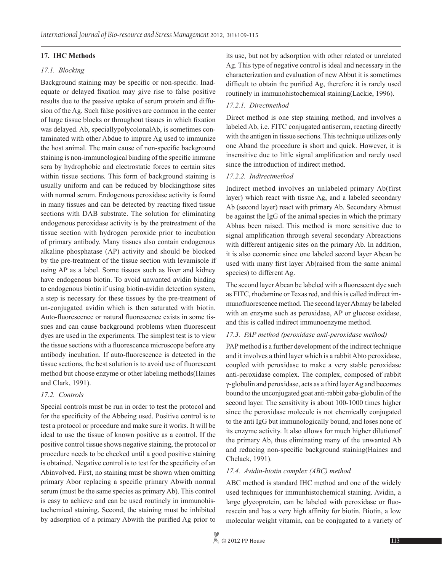## **17. IHC Methods**

## *17.1. Blocking*

Background staining may be specific or non-specific. Inadequate or delayed fixation may give rise to false positive results due to the passive uptake of serum protein and diffusion of the Ag. Such false positives are common in the center of large tissue blocks or throughout tissues in which fixation was delayed. Ab, speciallypolycolonalAb, is sometimes contaminated with other Abdue to impure Ag used to immunize the host animal. The main cause of non-specific background staining is non-immunological binding of the specific immune sera by hydrophobic and electrostatic forces to certain sites within tissue sections. This form of background staining is usually uniform and can be reduced by blockingthose sites with normal serum. Endogenous peroxidase activity is found in many tissues and can be detected by reacting fixed tissue sections with DAB substrate. The solution for eliminating endogenous peroxidase activity is by the pretreatment of the tissue section with hydrogen peroxide prior to incubation of primary antibody. Many tissues also contain endogenous alkaline phosphatase (AP) activity and should be blocked by the pre-treatment of the tissue section with levamisole if using AP as a label. Some tissues such as liver and kidney have endogenous biotin. To avoid unwanted avidin binding to endogenous biotin if using biotin-avidin detection system, a step is necessary for these tissues by the pre-treatment of un-conjugated avidin which is then saturated with biotin. Auto-fluorescence or natural fluorescence exists in some tissues and can cause background problems when fluorescent dyes are used in the experiments. The simplest test is to view the tissue sections with a fluorescence microscope before any antibody incubation. If auto-fluorescence is detected in the tissue sections, the best solution is to avoid use of fluorescent method but choose enzyme or other labeling methods(Haines and Clark, 1991).

## *17.2. Controls*

Special controls must be run in order to test the protocol and for the specificity of the Abbeing used. Positive control is to test a protocol or procedure and make sure it works. It will be ideal to use the tissue of known positive as a control. If the positive control tissue shows negative staining, the protocol or procedure needs to be checked until a good positive staining is obtained. Negative control is to test for the specificity of an Abinvolved. First, no staining must be shown when omitting primary Abor replacing a specific primary Abwith normal serum (must be the same species as primary Ab). This control is easy to achieve and can be used routinely in immunohistochemical staining. Second, the staining must be inhibited by adsorption of a primary Abwith the purified Ag prior to its use, but not by adsorption with other related or unrelated Ag. This type of negative control is ideal and necessary in the characterization and evaluation of new Abbut it is sometimes difficult to obtain the purified Ag, therefore it is rarely used routinely in immunohistochemical staining(Lackie, 1996).

## *17.2.1. Directmethod*

Direct method is one step staining method, and involves a labeled Ab, i.e. FITC conjugated antiserum, reacting directly with the antigen in tissue sections. This technique utilizes only one Aband the procedure is short and quick. However, it is insensitive due to little signal amplification and rarely used since the introduction of indirect method.

## *17.2.2. Indirectmethod*

Indirect method involves an unlabeled primary Ab(first layer) which react with tissue Ag, and a labeled secondary Ab (second layer) react with primary Ab. Secondary Abmust be against the IgG of the animal species in which the primary Abhas been raised. This method is more sensitive due to signal amplification through several secondary Abreactions with different antigenic sites on the primary Ab. In addition, it is also economic since one labeled second layer Abcan be used with many first layer Ab(raised from the same animal species) to different Ag.

The second layer Abcan be labeled with a fluorescent dye such as FITC, rhodamine or Texas red, and this is called indirect immunofluorescence method. The second layer Abmay be labeled with an enzyme such as peroxidase, AP or glucose oxidase, and this is called indirect immunoenzyme method.

## *17.3. PAP method (peroxidase anti-peroxidase method)*

PAP method is a further development of the indirect technique and it involves a third layer which is a rabbit Abto peroxidase, coupled with peroxidase to make a very stable peroxidase anti-peroxidase complex. The complex, composed of rabbit γ-globulin and peroxidase, acts as a third layer Ag and becomes bound to the unconjugated goat anti-rabbit gaba-globulin of the second layer. The sensitivity is about 100-1000 times higher since the peroxidase molecule is not chemically conjugated to the anti IgG but immunologically bound, and loses none of its enzyme activity. It also allows for much higher dilutionof the primary Ab, thus eliminating many of the unwanted Ab and reducing non-specific background staining(Haines and Chelack, 1991).

## *17.4. Avidin-biotin complex (ABC) method*

ABC method is standard IHC method and one of the widely used techniques for immunhistochemical staining. Avidin, a large glycoprotein, can be labeled with peroxidase or fluorescein and has a very high affinity for biotin. Biotin, a low molecular weight vitamin, can be conjugated to a variety of

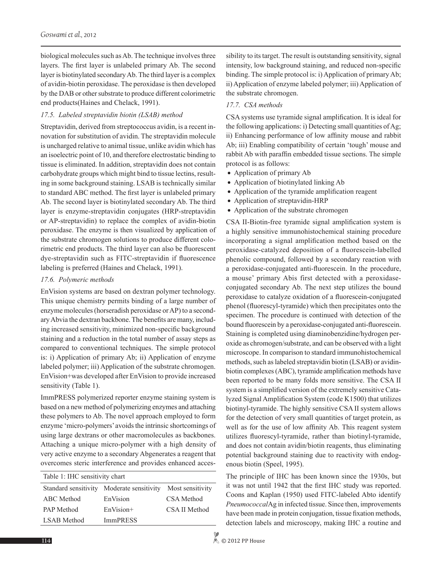biological molecules such as Ab. The technique involves three layers. The first layer is unlabeled primary Ab. The second layer is biotinylated secondary Ab. The third layer is a complex of avidin-biotin peroxidase. The peroxidase is then developed by the DAB or other substrate to produce different colorimetric end products(Haines and Chelack, 1991).

## *17.5. Labeled streptavidin biotin (LSAB) method*

Streptavidin, derived from streptococcus avidin, is a recent innovation for substitution of avidin. The streptavidin molecule is uncharged relative to animal tissue, unlike avidin which has an isoelectric point of 10, and therefore electrostatic binding to tissue is eliminated. In addition, streptavidin does not contain carbohydrate groups which might bind to tissue lectins, resulting in some background staining. LSAB is technically similar to standard ABC method. The first layer is unlabeled primary Ab. The second layer is biotinylated secondary Ab. The third layer is enzyme-streptavidin conjugates (HRP-streptavidin or AP-streptavidin) to replace the complex of avidin-biotin peroxidase. The enzyme is then visualized by application of the substrate chromogen solutions to produce different colorimetric end products. The third layer can also be fluorescent dye-streptavidin such as FITC-streptavidin if fluorescence labeling is preferred (Haines and Chelack, 1991).

## *17.6. Polymeric methods*

EnVision systems are based on dextran polymer technology. This unique chemistry permits binding of a large number of enzyme molecules (horseradish peroxidase or AP) to a secondary Abvia the dextran backbone. The benefits are many, including increased sensitivity, minimized non-specific background staining and a reduction in the total number of assay steps as compared to conventional techniques. The simple protocol is: i) Application of primary Ab; ii) Application of enzyme labeled polymer; iii) Application of the substrate chromogen. EnVision+was developed after EnVision to provide increased sensitivity (Table 1).

ImmPRESS polymerized reporter enzyme staining system is based on a new method of polymerizing enzymes and attaching these polymers to Ab. The novel approach employed to form enzyme 'micro-polymers' avoids the intrinsic shortcomings of using large dextrans or other macromolecules as backbones. Attaching a unique micro-polymer with a high density of very active enzyme to a secondary Abgenerates a reagent that overcomes steric interference and provides enhanced acces-

| Table 1: IHC sensitivity chart |                                       |               |
|--------------------------------|---------------------------------------|---------------|
| Standard sensitivity           | Moderate sensitivity Most sensitivity |               |
| ABC Method                     | EnVision                              | CSA Method    |
| <b>PAP</b> Method              | $EnVision+$                           | CSA II Method |
| <b>LSAB</b> Method             | <b>ImmPRESS</b>                       |               |
|                                |                                       |               |

sibility to its target. The result is outstanding sensitivity, signal intensity, low background staining, and reduced non-specific binding. The simple protocol is: i) Application of primary Ab; ii) Application of enzyme labeled polymer; iii) Application of the substrate chromogen.

## *17.7. CSA methods*

CSA systems use tyramide signal amplification. It is ideal for the following applications: i) Detecting small quantities of Ag; ii) Enhancing performance of low affinity mouse and rabbit Ab; iii) Enabling compatibility of certain 'tough' mouse and rabbit Ab with paraffin embedded tissue sections. The simple protocol is as follows:

- Application of primary Ab
- Application of biotinylated linking Ab
- Application of the tyramide amplification reagent
- Application of streptavidin-HRP
- Application of the substrate chromogen

CSA II-Biotin-free tyramide signal amplification system is a highly sensitive immunohistochemical staining procedure incorporating a signal amplification method based on the peroxidase-catalyzed deposition of a fluorescein-labelled phenolic compound, followed by a secondary reaction with a peroxidase-conjugated anti-fluorescein. In the procedure, a mouse' primary Abis first detected with a peroxidaseconjugated secondary Ab. The next step utilizes the bound peroxidase to catalyze oxidation of a fluorescein-conjugated phenol (fluorescyl-tyramide) which then precipitates onto the specimen. The procedure is continued with detection of the bound fluorescein by a peroxidase-conjugated anti-fluorescein. Staining is completed using diaminobenzidine/hydrogen peroxide as chromogen/substrate, and can be observed with a light microscope. In comparison to standard immunohistochemical methods, such as labeled streptavidin biotin (LSAB) or avidinbiotin complexes (ABC), tyramide amplification methods have been reported to be many folds more sensitive. The CSA II system is a simplified version of the extremely sensitive Catalyzed Signal Amplification System (code K1500) that utilizes biotinyl-tyramide. The highly sensitive CSA II system allows for the detection of very small quantities of target protein, as well as for the use of low affinity Ab. This reagent system utilizes fluorescyl-tyramide, rather than biotinyl-tyramide, and does not contain avidin/biotin reagents, thus eliminating potential background staining due to reactivity with endogenous biotin (Speel, 1995).

The principle of IHC has been known since the 1930s, but it was not until 1942 that the first IHC study was reported. Coons and Kaplan (1950) used FITC-labeled Abto identify *Pneumococcal*Ag in infected tissue. Since then, improvements have been made in protein conjugation, tissue fixation methods, detection labels and microscopy, making IHC a routine and